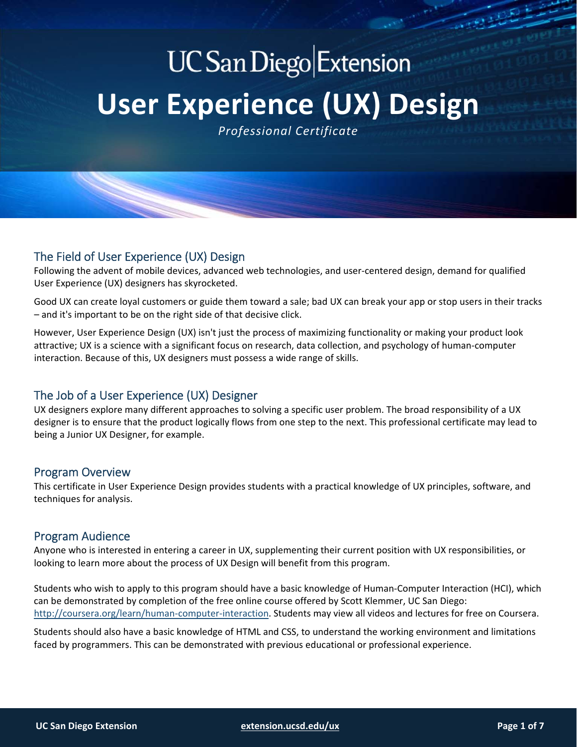# **UC San Diego Extension User Experience (UX) Design**

*Professional Certificate*

# The Field of User Experience (UX) Design

Following the advent of mobile devices, advanced web technologies, and user‐centered design, demand for qualified User Experience (UX) designers has skyrocketed.

Good UX can create loyal customers or guide them toward a sale; bad UX can break your app or stop users in their tracks – and it's important to be on the right side of that decisive click.

However, User Experience Design (UX) isn't just the process of maximizing functionality or making your product look attractive; UX is a science with a significant focus on research, data collection, and psychology of human‐computer interaction. Because of this, UX designers must possess a wide range of skills.

# The Job of a User Experience (UX) Designer

UX designers explore many different approaches to solving a specific user problem. The broad responsibility of a UX designer is to ensure that the product logically flows from one step to the next. This professional certificate may lead to being a Junior UX Designer, for example.

## Program Overview

This certificate in User Experience Design provides students with a practical knowledge of UX principles, software, and techniques for analysis.

## Program Audience

Anyone who is interested in entering a career in UX, supplementing their current position with UX responsibilities, or looking to learn more about the process of UX Design will benefit from this program.

Students who wish to apply to this program should have a basic knowledge of Human‐Computer Interaction (HCI), which can be demonstrated by completion of the free online course offered by Scott Klemmer, UC San Diego: http://coursera.org/learn/human-computer-interaction. Students may view all videos and lectures for free on Coursera.

Students should also have a basic knowledge of HTML and CSS, to understand the working environment and limitations faced by programmers. This can be demonstrated with previous educational or professional experience.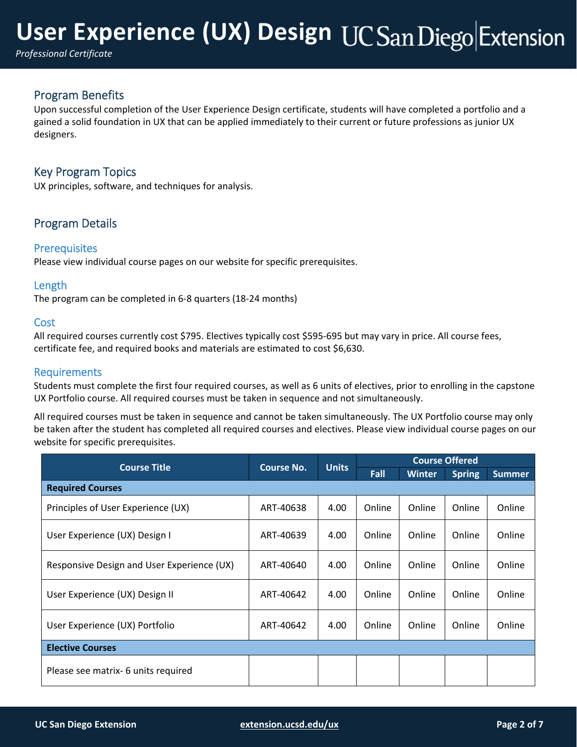# **User Experience (UX) Design**

*Professional Certificate*

# Program Benefits

Upon successful completion of the User Experience Design certificate, students will have completed a portfolio and a gained a solid foundation in UX that can be applied immediately to their current or future professions as junior UX designers.

## Key Program Topics

UX principles, software, and techniques for analysis.

# Program Details

## **Prerequisites**

Please view individual course pages on our website for specific prerequisites.

## Length

The program can be completed in 6‐8 quarters (18‐24 months)

## **Cost**

All required courses currently cost \$795. Electives typically cost \$595‐695 but may vary in price. All course fees, certificate fee, and required books and materials are estimated to cost \$6,630.

## **Requirements**

Students must complete the first four required courses, as well as 6 units of electives, prior to enrolling in the capstone UX Portfolio course. All required courses must be taken in sequence and not simultaneously.

All required courses must be taken in sequence and cannot be taken simultaneously. The UX Portfolio course may only be taken after the student has completed all required courses and electives. Please view individual course pages on our website for specific prerequisites.

| <b>Course Title</b>                        | <b>Course No.</b> | <b>Units</b> | <b>Course Offered</b> |               |               |               |
|--------------------------------------------|-------------------|--------------|-----------------------|---------------|---------------|---------------|
|                                            |                   |              | Fall                  | <b>Winter</b> | <b>Spring</b> | <b>Summer</b> |
| <b>Required Courses</b>                    |                   |              |                       |               |               |               |
| Principles of User Experience (UX)         | ART-40638         | 4.00         | Online                | Online        | Online        | Online        |
| User Experience (UX) Design I              | ART-40639         | 4.00         | Online                | Online        | Online        | Online        |
| Responsive Design and User Experience (UX) | ART-40640         | 4.00         | Online                | Online        | Online        | Online        |
| User Experience (UX) Design II             | ART-40642         | 4.00         | Online                | Online        | Online        | Online        |
| User Experience (UX) Portfolio             | ART-40642         | 4.00         | Online                | Online        | Online        | Online        |
| <b>Elective Courses</b>                    |                   |              |                       |               |               |               |
| Please see matrix- 6 units required        |                   |              |                       |               |               |               |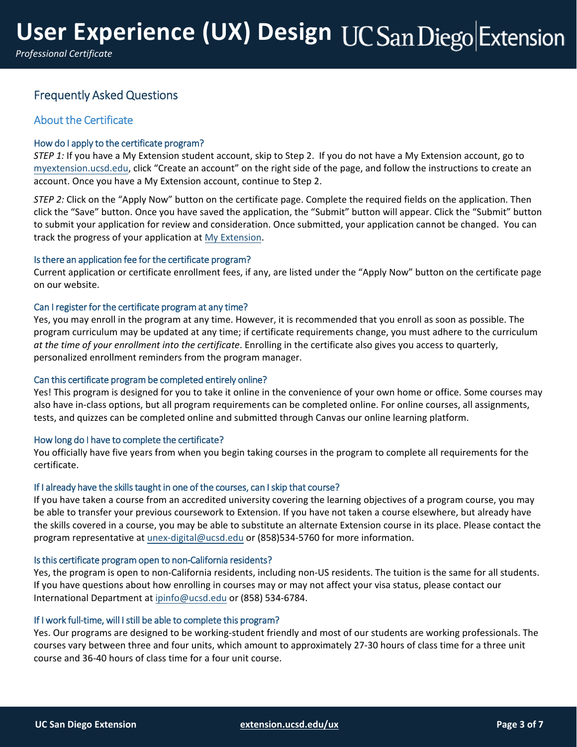# Frequently Asked Questions

## About the Certificate

## How do I apply to the certificate program?

*STEP 1:* If you have a My Extension student account, skip to Step 2. If you do not have a My Extension account, go to myextension.ucsd.edu, click "Create an account" on the right side of the page, and follow the instructions to create an account. Once you have a My Extension account, continue to Step 2.

*STEP 2:* Click on the "Apply Now" button on the certificate page. Complete the required fields on the application. Then click the "Save" button. Once you have saved the application, the "Submit" button will appear. Click the "Submit" button to submit your application for review and consideration. Once submitted, your application cannot be changed. You can track the progress of your application at My Extension.

## Is there an application fee for the certificate program?

Current application or certificate enrollment fees, if any, are listed under the "Apply Now" button on the certificate page on our website.

## Can I register for the certificate program at any time?

Yes, you may enroll in the program at any time. However, it is recommended that you enroll as soon as possible. The program curriculum may be updated at any time; if certificate requirements change, you must adhere to the curriculum *at the time of your enrollment into the certificate*. Enrolling in the certificate also gives you access to quarterly, personalized enrollment reminders from the program manager.

## Can this certificate program be completed entirely online?

Yes! This program is designed for you to take it online in the convenience of your own home or office. Some courses may also have in‐class options, but all program requirements can be completed online. For online courses, all assignments, tests, and quizzes can be completed online and submitted through Canvas our online learning platform.

## How long do I have to complete the certificate?

You officially have five years from when you begin taking courses in the program to complete all requirements for the certificate.

## If I already have the skills taught in one of the courses, can I skip that course?

If you have taken a course from an accredited university covering the learning objectives of a program course, you may be able to transfer your previous coursework to Extension. If you have not taken a course elsewhere, but already have the skills covered in a course, you may be able to substitute an alternate Extension course in its place. Please contact the program representative at unex‐digital@ucsd.edu or (858)534‐5760 for more information.

## Is this certificate program open to non‐California residents?

Yes, the program is open to non‐California residents, including non‐US residents. The tuition is the same for all students. If you have questions about how enrolling in courses may or may not affect your visa status, please contact our International Department at ipinfo@ucsd.edu or (858) 534‐6784.

## If I work full-time, will I still be able to complete this program?

Yes. Our programs are designed to be working-student friendly and most of our students are working professionals. The courses vary between three and four units, which amount to approximately 27‐30 hours of class time for a three unit course and 36‐40 hours of class time for a four unit course.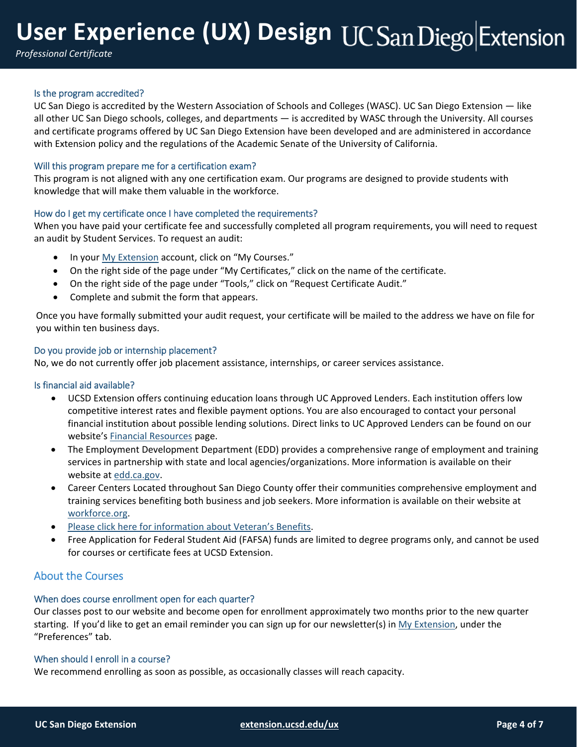# **User Experience (UX) Design**

*Professional Certificate*

## Is the program accredited?

UC San Diego is accredited by the Western Association of Schools and Colleges (WASC). UC San Diego Extension — like all other UC San Diego schools, colleges, and departments — is accredited by WASC through the University. All courses and certificate programs offered by UC San Diego Extension have been developed and are administered in accordance with Extension policy and the regulations of the Academic Senate of the University of California.

## Will this program prepare me for a certification exam?

This program is not aligned with any one certification exam. Our programs are designed to provide students with knowledge that will make them valuable in the workforce.

## How do I get my certificate once I have completed the requirements?

When you have paid your certificate fee and successfully completed all program requirements, you will need to request an audit by Student Services. To request an audit:

- In your My Extension account, click on "My Courses."
- On the right side of the page under "My Certificates," click on the name of the certificate.
- On the right side of the page under "Tools," click on "Request Certificate Audit."
- Complete and submit the form that appears.

Once you have formally submitted your audit request, your certificate will be mailed to the address we have on file for you within ten business days.

## Do you provide job or internship placement?

No, we do not currently offer job placement assistance, internships, or career services assistance.

#### Is financial aid available?

- UCSD Extension offers continuing education loans through UC Approved Lenders. Each institution offers low competitive interest rates and flexible payment options. You are also encouraged to contact your personal financial institution about possible lending solutions. Direct links to UC Approved Lenders can be found on our website's Financial Resources page.
- The Employment Development Department (EDD) provides a comprehensive range of employment and training services in partnership with state and local agencies/organizations. More information is available on their website at edd.ca.gov.
- Career Centers Located throughout San Diego County offer their communities comprehensive employment and training services benefiting both business and job seekers. More information is available on their website at workforce.org.
- Please click here for information about Veteran's Benefits.
- Free Application for Federal Student Aid (FAFSA) funds are limited to degree programs only, and cannot be used for courses or certificate fees at UCSD Extension.

## About the Courses

## When does course enrollment open for each quarter?

Our classes post to our website and become open for enrollment approximately two months prior to the new quarter starting. If you'd like to get an email reminder you can sign up for our newsletter(s) in My Extension, under the "Preferences" tab.

## When should I enroll in a course?

We recommend enrolling as soon as possible, as occasionally classes will reach capacity.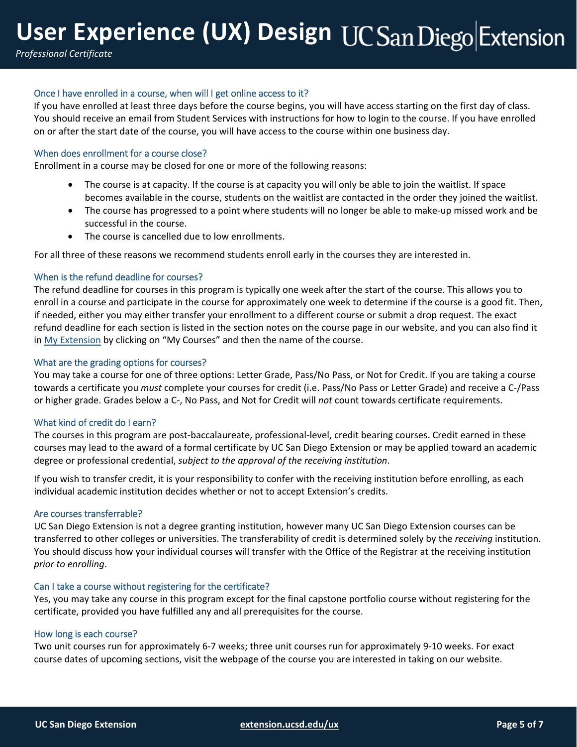*Professional Certificate*

## Once I have enrolled in a course, when will I get online access to it?

If you have enrolled at least three days before the course begins, you will have access starting on the first day of class. You should receive an email from Student Services with instructions for how to login to the course. If you have enrolled on or after the start date of the course, you will have access to the course within one business day.

### When does enrollment for a course close?

Enrollment in a course may be closed for one or more of the following reasons:

- The course is at capacity. If the course is at capacity you will only be able to join the waitlist. If space becomes available in the course, students on the waitlist are contacted in the order they joined the waitlist.
- The course has progressed to a point where students will no longer be able to make-up missed work and be successful in the course.
- The course is cancelled due to low enrollments.

For all three of these reasons we recommend students enroll early in the courses they are interested in.

#### When is the refund deadline for courses?

The refund deadline for courses in this program is typically one week after the start of the course. This allows you to enroll in a course and participate in the course for approximately one week to determine if the course is a good fit. Then, if needed, either you may either transfer your enrollment to a different course or submit a drop request. The exact refund deadline for each section is listed in the section notes on the course page in our website, and you can also find it in My Extension by clicking on "My Courses" and then the name of the course.

#### What are the grading options for courses?

You may take a course for one of three options: Letter Grade, Pass/No Pass, or Not for Credit. If you are taking a course towards a certificate you *must* complete your courses for credit (i.e. Pass/No Pass or Letter Grade) and receive a C‐/Pass or higher grade. Grades below a C‐, No Pass, and Not for Credit will *not* count towards certificate requirements.

#### What kind of credit do I earn?

The courses in this program are post-baccalaureate, professional-level, credit bearing courses. Credit earned in these courses may lead to the award of a formal certificate by UC San Diego Extension or may be applied toward an academic degree or professional credential, *subject to the approval of the receiving institution*.

If you wish to transfer credit, it is your responsibility to confer with the receiving institution before enrolling, as each individual academic institution decides whether or not to accept Extension's credits.

#### Are courses transferrable?

UC San Diego Extension is not a degree granting institution, however many UC San Diego Extension courses can be transferred to other colleges or universities. The transferability of credit is determined solely by the *receiving* institution. You should discuss how your individual courses will transfer with the Office of the Registrar at the receiving institution *prior to enrolling*.

## Can I take a course without registering for the certificate?

Yes, you may take any course in this program except for the final capstone portfolio course without registering for the certificate, provided you have fulfilled any and all prerequisites for the course.

#### How long is each course?

Two unit courses run for approximately 6‐7 weeks; three unit courses run for approximately 9‐10 weeks. For exact course dates of upcoming sections, visit the webpage of the course you are interested in taking on our website.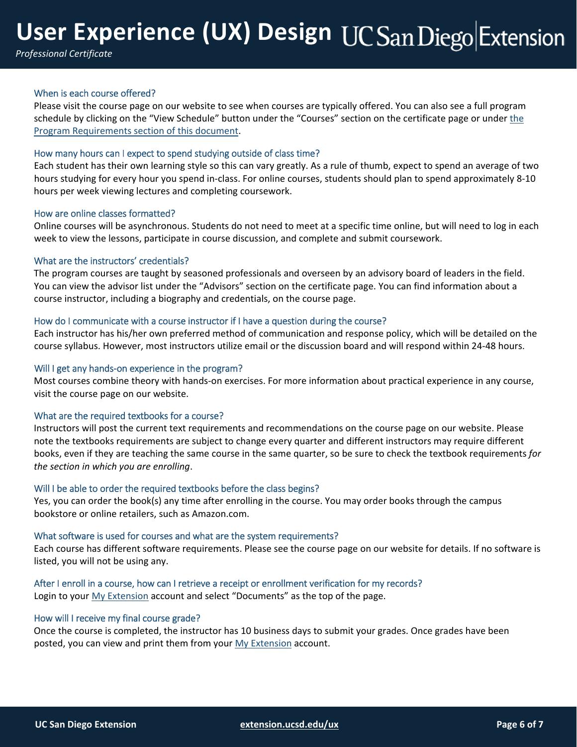# **User Experience (UX) Design**

*Professional Certificate*

## When is each course offered?

Please visit the course page on our website to see when courses are typically offered. You can also see a full program schedule by clicking on the "View Schedule" button under the "Courses" section on the certificate page or under the Program Requirements section of this document.

#### How many hours can I expect to spend studying outside of class time?

Each student has their own learning style so this can vary greatly. As a rule of thumb, expect to spend an average of two hours studying for every hour you spend in-class. For online courses, students should plan to spend approximately 8-10 hours per week viewing lectures and completing coursework.

#### How are online classes formatted?

Online courses will be asynchronous. Students do not need to meet at a specific time online, but will need to log in each week to view the lessons, participate in course discussion, and complete and submit coursework.

#### What are the instructors' credentials?

The program courses are taught by seasoned professionals and overseen by an advisory board of leaders in the field. You can view the advisor list under the "Advisors" section on the certificate page. You can find information about a course instructor, including a biography and credentials, on the course page.

#### How do I communicate with a course instructor if I have a question during the course?

Each instructor has his/her own preferred method of communication and response policy, which will be detailed on the course syllabus. However, most instructors utilize email or the discussion board and will respond within 24‐48 hours.

#### Will I get any hands-on experience in the program?

Most courses combine theory with hands‐on exercises. For more information about practical experience in any course, visit the course page on our website.

#### What are the required textbooks for a course?

Instructors will post the current text requirements and recommendations on the course page on our website. Please note the textbooks requirements are subject to change every quarter and different instructors may require different books, even if they are teaching the same course in the same quarter, so be sure to check the textbook requirements *for the section in which you are enrolling*.

#### Will I be able to order the required textbooks before the class begins?

Yes, you can order the book(s) any time after enrolling in the course. You may order books through the campus bookstore or online retailers, such as Amazon.com.

#### What software is used for courses and what are the system requirements?

Each course has different software requirements. Please see the course page on our website for details. If no software is listed, you will not be using any.

#### After I enroll in a course, how can I retrieve a receipt or enrollment verification for my records? Login to your My Extension account and select "Documents" as the top of the page.

#### How will I receive my final course grade?

Once the course is completed, the instructor has 10 business days to submit your grades. Once grades have been posted, you can view and print them from your My Extension account.